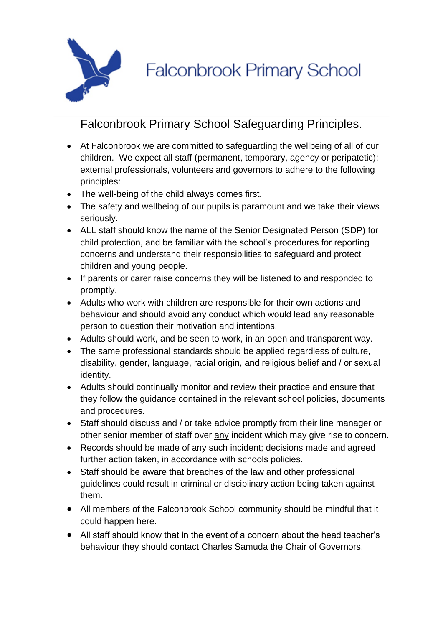

**Falconbrook Primary School** 

## Falconbrook Primary School Safeguarding Principles.

- At Falconbrook we are committed to safeguarding the wellbeing of all of our children. We expect all staff (permanent, temporary, agency or peripatetic); external professionals, volunteers and governors to adhere to the following principles:
- The well-being of the child always comes first.
- The safety and wellbeing of our pupils is paramount and we take their views seriously.
- ALL staff should know the name of the Senior Designated Person (SDP) for child protection, and be familiar with the school's procedures for reporting concerns and understand their responsibilities to safeguard and protect children and young people.
- If parents or carer raise concerns they will be listened to and responded to promptly.
- Adults who work with children are responsible for their own actions and behaviour and should avoid any conduct which would lead any reasonable person to question their motivation and intentions.
- Adults should work, and be seen to work, in an open and transparent way.
- The same professional standards should be applied regardless of culture, disability, gender, language, racial origin, and religious belief and / or sexual identity.
- Adults should continually monitor and review their practice and ensure that they follow the guidance contained in the relevant school policies, documents and procedures.
- Staff should discuss and / or take advice promptly from their line manager or other senior member of staff over any incident which may give rise to concern.
- Records should be made of any such incident; decisions made and agreed further action taken, in accordance with schools policies.
- Staff should be aware that breaches of the law and other professional guidelines could result in criminal or disciplinary action being taken against them.
- All members of the Falconbrook School community should be mindful that it could happen here.
- All staff should know that in the event of a concern about the head teacher's behaviour they should contact Charles Samuda the Chair of Governors.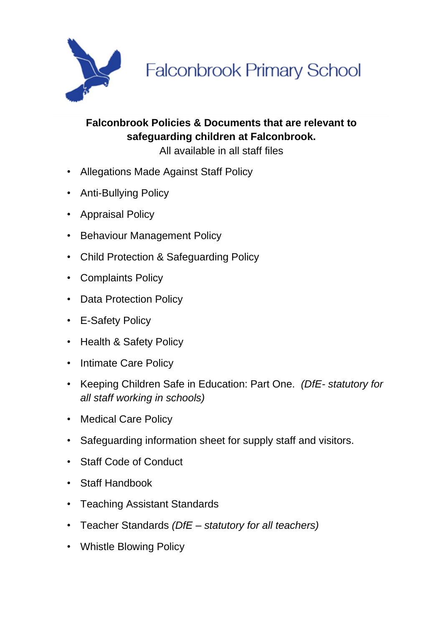

**Falconbrook Primary School** 

## **Falconbrook Policies & Documents that are relevant to safeguarding children at Falconbrook.**

All available in all staff files

- Allegations Made Against Staff Policy
- Anti-Bullying Policy
- Appraisal Policy
- Behaviour Management Policy
- Child Protection & Safeguarding Policy
- Complaints Policy
- Data Protection Policy
- E-Safety Policy
- Health & Safety Policy
- Intimate Care Policy
- Keeping Children Safe in Education: Part One. *(DfE- statutory for all staff working in schools)*
- Medical Care Policy
- Safeguarding information sheet for supply staff and visitors.
- Staff Code of Conduct
- Staff Handbook
- Teaching Assistant Standards
- Teacher Standards *(DfE – statutory for all teachers)*
- Whistle Blowing Policy